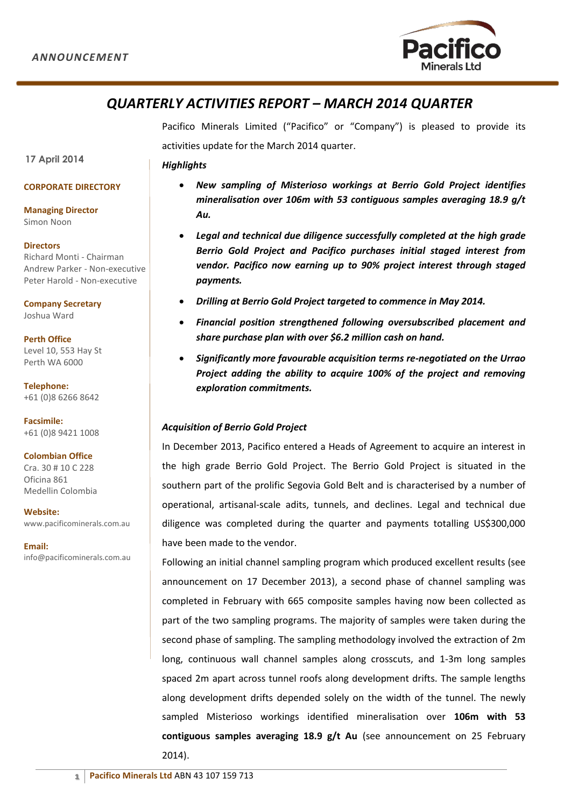

# *QUARTERLY ACTIVITIES REPORT – MARCH 2014 QUARTER*

Pacifico Minerals Limited ("Pacifico" or "Company") is pleased to provide its activities update for the March 2014 quarter.

*Highlights*

#### **CORPORATE DIRECTORY**

**Managing Director** Simon Noon

**17 April 2014**

**Directors** Richard Monti - Chairman Andrew Parker - Non-executive Peter Harold - Non-executive

**Company Secretary** Joshua Ward

**Perth Office**  Level 10, 553 Hay St Perth WA 6000

**Telephone:** +61 (0)8 6266 8642

**Facsimile:**  +61 (0)8 9421 1008

#### **Colombian Office**

Cra. 30 # 10 C 228 Oficina 861 Medellin Colombia

**Website:**  www.pacificominerals.com.au

**Email:** info@pacificominerals.com.au

## *New sampling of Misterioso workings at Berrio Gold Project identifies mineralisation over 106m with 53 contiguous samples averaging 18.9 g/t Au.*

- *Legal and technical due diligence successfully completed at the high grade Berrio Gold Project and Pacifico purchases initial staged interest from vendor. Pacifico now earning up to 90% project interest through staged payments.*
- *Drilling at Berrio Gold Project targeted to commence in May 2014.*
- *Financial position strengthened following oversubscribed placement and share purchase plan with over \$6.2 million cash on hand.*
- *Significantly more favourable acquisition terms re-negotiated on the Urrao Project adding the ability to acquire 100% of the project and removing exploration commitments.*

### *Acquisition of Berrio Gold Project*

In December 2013, Pacifico entered a Heads of Agreement to acquire an interest in the high grade Berrio Gold Project. The Berrio Gold Project is situated in the southern part of the prolific Segovia Gold Belt and is characterised by a number of operational, artisanal-scale adits, tunnels, and declines. Legal and technical due diligence was completed during the quarter and payments totalling US\$300,000 have been made to the vendor.

Following an initial channel sampling program which produced excellent results (see announcement on 17 December 2013), a second phase of channel sampling was completed in February with 665 composite samples having now been collected as part of the two sampling programs. The majority of samples were taken during the second phase of sampling. The sampling methodology involved the extraction of 2m long, continuous wall channel samples along crosscuts, and 1-3m long samples spaced 2m apart across tunnel roofs along development drifts. The sample lengths along development drifts depended solely on the width of the tunnel. The newly sampled Misterioso workings identified mineralisation over **106m with 53 contiguous samples averaging 18.9 g/t Au** (see announcement on 25 February 2014).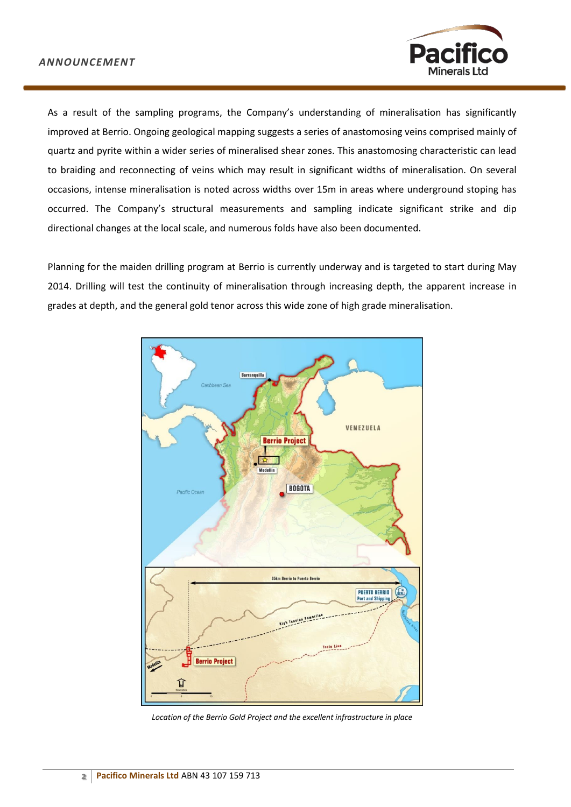

As a result of the sampling programs, the Company's understanding of mineralisation has significantly improved at Berrio. Ongoing geological mapping suggests a series of anastomosing veins comprised mainly of quartz and pyrite within a wider series of mineralised shear zones. This anastomosing characteristic can lead to braiding and reconnecting of veins which may result in significant widths of mineralisation. On several occasions, intense mineralisation is noted across widths over 15m in areas where underground stoping has occurred. The Company's structural measurements and sampling indicate significant strike and dip directional changes at the local scale, and numerous folds have also been documented.

Planning for the maiden drilling program at Berrio is currently underway and is targeted to start during May 2014. Drilling will test the continuity of mineralisation through increasing depth, the apparent increase in grades at depth, and the general gold tenor across this wide zone of high grade mineralisation.



*Location of the Berrio Gold Project and the excellent infrastructure in place*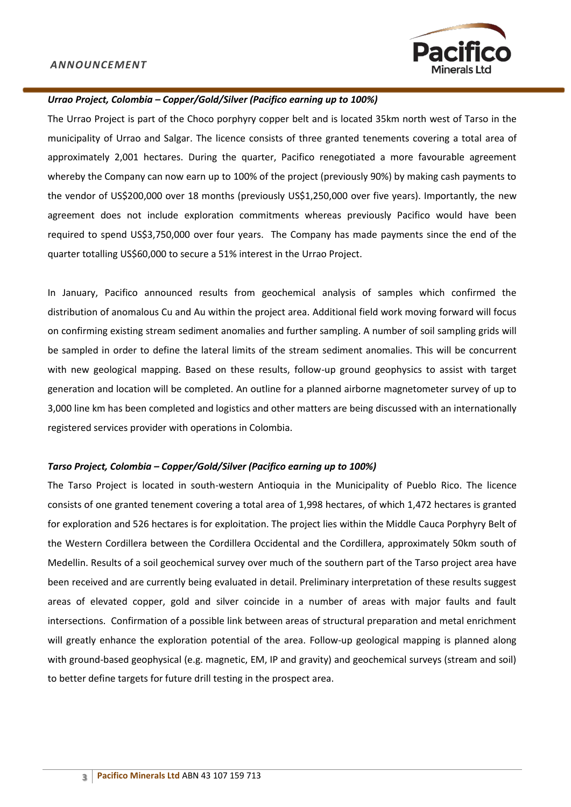

#### *Urrao Project, Colombia – Copper/Gold/Silver (Pacifico earning up to 100%)*

The Urrao Project is part of the Choco porphyry copper belt and is located 35km north west of Tarso in the municipality of Urrao and Salgar. The licence consists of three granted tenements covering a total area of approximately 2,001 hectares. During the quarter, Pacifico renegotiated a more favourable agreement whereby the Company can now earn up to 100% of the project (previously 90%) by making cash payments to the vendor of US\$200,000 over 18 months (previously US\$1,250,000 over five years). Importantly, the new agreement does not include exploration commitments whereas previously Pacifico would have been required to spend US\$3,750,000 over four years. The Company has made payments since the end of the quarter totalling US\$60,000 to secure a 51% interest in the Urrao Project.

In January, Pacifico announced results from geochemical analysis of samples which confirmed the distribution of anomalous Cu and Au within the project area. Additional field work moving forward will focus on confirming existing stream sediment anomalies and further sampling. A number of soil sampling grids will be sampled in order to define the lateral limits of the stream sediment anomalies. This will be concurrent with new geological mapping. Based on these results, follow-up ground geophysics to assist with target generation and location will be completed. An outline for a planned airborne magnetometer survey of up to 3,000 line km has been completed and logistics and other matters are being discussed with an internationally registered services provider with operations in Colombia.

#### *Tarso Project, Colombia – Copper/Gold/Silver (Pacifico earning up to 100%)*

The Tarso Project is located in south-western Antioquia in the Municipality of Pueblo Rico. The licence consists of one granted tenement covering a total area of 1,998 hectares, of which 1,472 hectares is granted for exploration and 526 hectares is for exploitation. The project lies within the Middle Cauca Porphyry Belt of the Western Cordillera between the Cordillera Occidental and the Cordillera, approximately 50km south of Medellin. Results of a soil geochemical survey over much of the southern part of the Tarso project area have been received and are currently being evaluated in detail. Preliminary interpretation of these results suggest areas of elevated copper, gold and silver coincide in a number of areas with major faults and fault intersections. Confirmation of a possible link between areas of structural preparation and metal enrichment will greatly enhance the exploration potential of the area. Follow-up geological mapping is planned along with ground-based geophysical (e.g. magnetic, EM, IP and gravity) and geochemical surveys (stream and soil) to better define targets for future drill testing in the prospect area.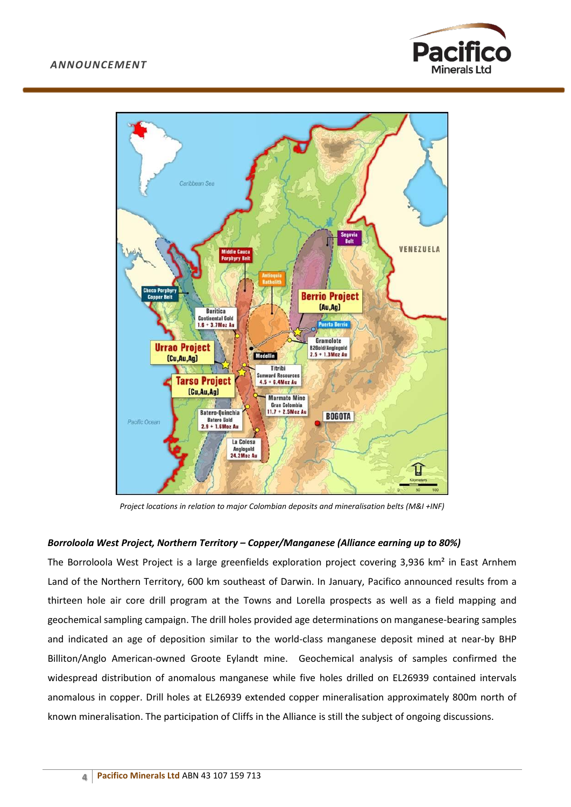



*Project locations in relation to major Colombian deposits and mineralisation belts (M&I +INF)*

#### *Borroloola West Project, Northern Territory – Copper/Manganese (Alliance earning up to 80%)*

The Borroloola West Project is a large greenfields exploration project covering 3,936 km² in East Arnhem Land of the Northern Territory, 600 km southeast of Darwin. In January, Pacifico announced results from a thirteen hole air core drill program at the Towns and Lorella prospects as well as a field mapping and geochemical sampling campaign. The drill holes provided age determinations on manganese-bearing samples and indicated an age of deposition similar to the world-class manganese deposit mined at near-by BHP Billiton/Anglo American-owned Groote Eylandt mine. Geochemical analysis of samples confirmed the widespread distribution of anomalous manganese while five holes drilled on EL26939 contained intervals anomalous in copper. Drill holes at EL26939 extended copper mineralisation approximately 800m north of known mineralisation. The participation of Cliffs in the Alliance is still the subject of ongoing discussions.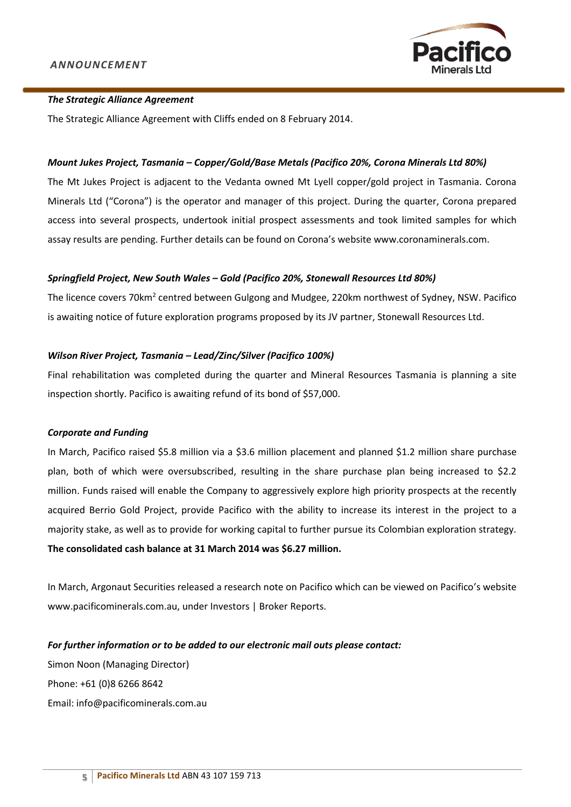

#### *The Strategic Alliance Agreement*

The Strategic Alliance Agreement with Cliffs ended on 8 February 2014.

#### *Mount Jukes Project, Tasmania – Copper/Gold/Base Metals (Pacifico 20%, Corona Minerals Ltd 80%)*

The Mt Jukes Project is adjacent to the Vedanta owned Mt Lyell copper/gold project in Tasmania. Corona Minerals Ltd ("Corona") is the operator and manager of this project. During the quarter, Corona prepared access into several prospects, undertook initial prospect assessments and took limited samples for which assay results are pending. Further details can be found on Corona's website [www.coronaminerals.com.](http://www.coronaminerals.com/)

#### *Springfield Project, New South Wales – Gold (Pacifico 20%, Stonewall Resources Ltd 80%)*

The licence covers 70km<sup>2</sup> centred between Gulgong and Mudgee, 220km northwest of Sydney, NSW. Pacifico is awaiting notice of future exploration programs proposed by its JV partner, Stonewall Resources Ltd.

#### *Wilson River Project, Tasmania – Lead/Zinc/Silver (Pacifico 100%)*

Final rehabilitation was completed during the quarter and Mineral Resources Tasmania is planning a site inspection shortly. Pacifico is awaiting refund of its bond of \$57,000.

#### *Corporate and Funding*

In March, Pacifico raised \$5.8 million via a \$3.6 million placement and planned \$1.2 million share purchase plan, both of which were oversubscribed, resulting in the share purchase plan being increased to \$2.2 million. Funds raised will enable the Company to aggressively explore high priority prospects at the recently acquired Berrio Gold Project, provide Pacifico with the ability to increase its interest in the project to a majority stake, as well as to provide for working capital to further pursue its Colombian exploration strategy. **The consolidated cash balance at 31 March 2014 was \$6.27 million.**

In March, Argonaut Securities released a research note on Pacifico which can be viewed on Pacifico's website www.pacificominerals.com.au, under Investors | Broker Reports.

*For further information or to be added to our electronic mail outs please contact:*  Simon Noon (Managing Director) Phone: +61 (0)8 6266 8642 Email: info@pacificominerals.com.au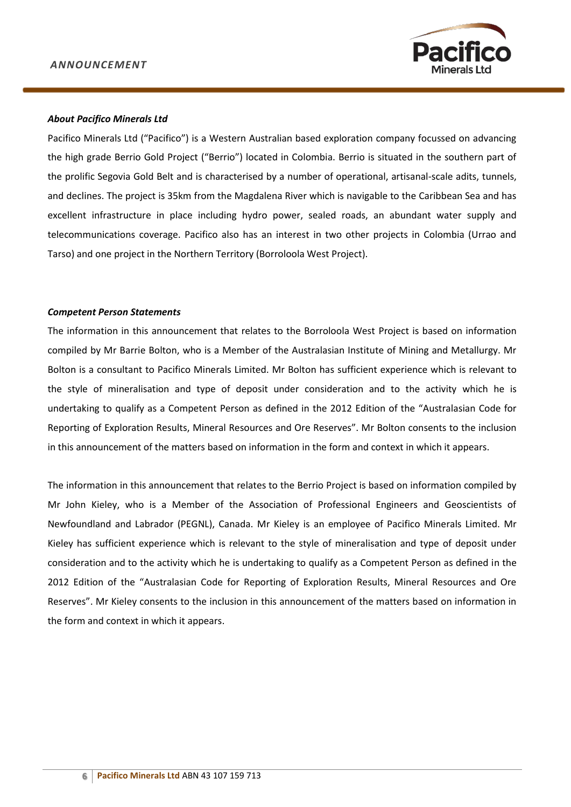

#### *About Pacifico Minerals Ltd*

Pacifico Minerals Ltd ("Pacifico") is a Western Australian based exploration company focussed on advancing the high grade Berrio Gold Project ("Berrio") located in Colombia. Berrio is situated in the southern part of the prolific Segovia Gold Belt and is characterised by a number of operational, artisanal-scale adits, tunnels, and declines. The project is 35km from the Magdalena River which is navigable to the Caribbean Sea and has excellent infrastructure in place including hydro power, sealed roads, an abundant water supply and telecommunications coverage. Pacifico also has an interest in two other projects in Colombia (Urrao and Tarso) and one project in the Northern Territory (Borroloola West Project).

#### *Competent Person Statements*

The information in this announcement that relates to the Borroloola West Project is based on information compiled by Mr Barrie Bolton, who is a Member of the Australasian Institute of Mining and Metallurgy. Mr Bolton is a consultant to Pacifico Minerals Limited. Mr Bolton has sufficient experience which is relevant to the style of mineralisation and type of deposit under consideration and to the activity which he is undertaking to qualify as a Competent Person as defined in the 2012 Edition of the "Australasian Code for Reporting of Exploration Results, Mineral Resources and Ore Reserves". Mr Bolton consents to the inclusion in this announcement of the matters based on information in the form and context in which it appears.

The information in this announcement that relates to the Berrio Project is based on information compiled by Mr John Kieley, who is a Member of the Association of Professional Engineers and Geoscientists of Newfoundland and Labrador (PEGNL), Canada. Mr Kieley is an employee of Pacifico Minerals Limited. Mr Kieley has sufficient experience which is relevant to the style of mineralisation and type of deposit under consideration and to the activity which he is undertaking to qualify as a Competent Person as defined in the 2012 Edition of the "Australasian Code for Reporting of Exploration Results, Mineral Resources and Ore Reserves". Mr Kieley consents to the inclusion in this announcement of the matters based on information in the form and context in which it appears.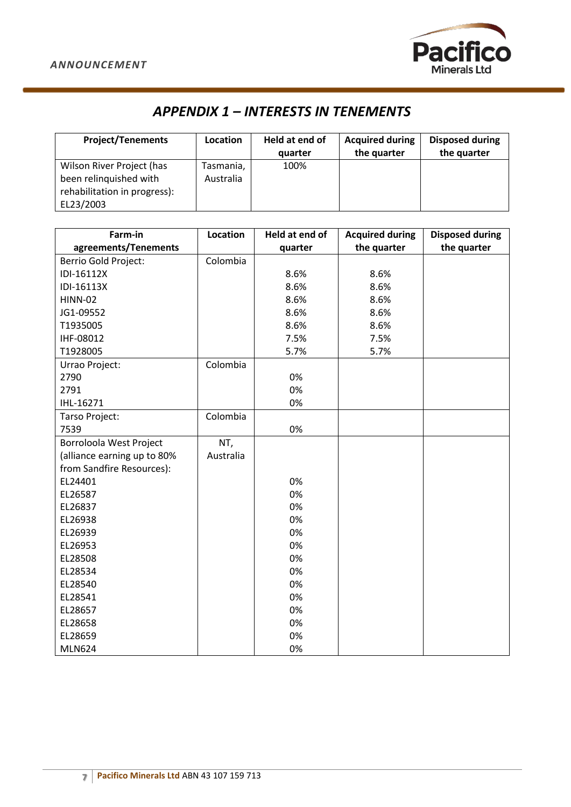

# *APPENDIX 1 – INTERESTS IN TENEMENTS*

| <b>Project/Tenements</b>                                                                         | Location               | Held at end of<br>quarter | <b>Acquired during</b><br>the quarter | <b>Disposed during</b><br>the quarter |
|--------------------------------------------------------------------------------------------------|------------------------|---------------------------|---------------------------------------|---------------------------------------|
| Wilson River Project (has<br>been relinguished with<br>rehabilitation in progress):<br>EL23/2003 | Tasmania,<br>Australia | 100%                      |                                       |                                       |

| Farm-in                     | Location  | Held at end of | <b>Acquired during</b> | <b>Disposed during</b> |
|-----------------------------|-----------|----------------|------------------------|------------------------|
| agreements/Tenements        |           | quarter        | the quarter            | the quarter            |
| Berrio Gold Project:        | Colombia  |                |                        |                        |
| IDI-16112X                  |           | 8.6%           | 8.6%                   |                        |
| IDI-16113X                  |           | 8.6%           | 8.6%                   |                        |
| <b>HINN-02</b>              |           | 8.6%           | 8.6%                   |                        |
| JG1-09552                   |           | 8.6%           | 8.6%                   |                        |
| T1935005                    |           | 8.6%           | 8.6%                   |                        |
| IHF-08012                   |           | 7.5%           | 7.5%                   |                        |
| T1928005                    |           | 5.7%           | 5.7%                   |                        |
| Urrao Project:              | Colombia  |                |                        |                        |
| 2790                        |           | 0%             |                        |                        |
| 2791                        |           | 0%             |                        |                        |
| IHL-16271                   |           | 0%             |                        |                        |
| Tarso Project:              | Colombia  |                |                        |                        |
| 7539                        |           | 0%             |                        |                        |
| Borroloola West Project     | NT,       |                |                        |                        |
| (alliance earning up to 80% | Australia |                |                        |                        |
| from Sandfire Resources):   |           |                |                        |                        |
| EL24401                     |           | 0%             |                        |                        |
| EL26587                     |           | 0%             |                        |                        |
| EL26837                     |           | 0%             |                        |                        |
| EL26938                     |           | 0%             |                        |                        |
| EL26939                     |           | 0%             |                        |                        |
| EL26953                     |           | 0%             |                        |                        |
| EL28508                     |           | 0%             |                        |                        |
| EL28534                     |           | 0%             |                        |                        |
| EL28540                     |           | 0%             |                        |                        |
| EL28541                     |           | 0%             |                        |                        |
| EL28657                     |           | 0%             |                        |                        |
| EL28658                     |           | 0%             |                        |                        |
| EL28659                     |           | 0%             |                        |                        |
| <b>MLN624</b>               |           | 0%             |                        |                        |